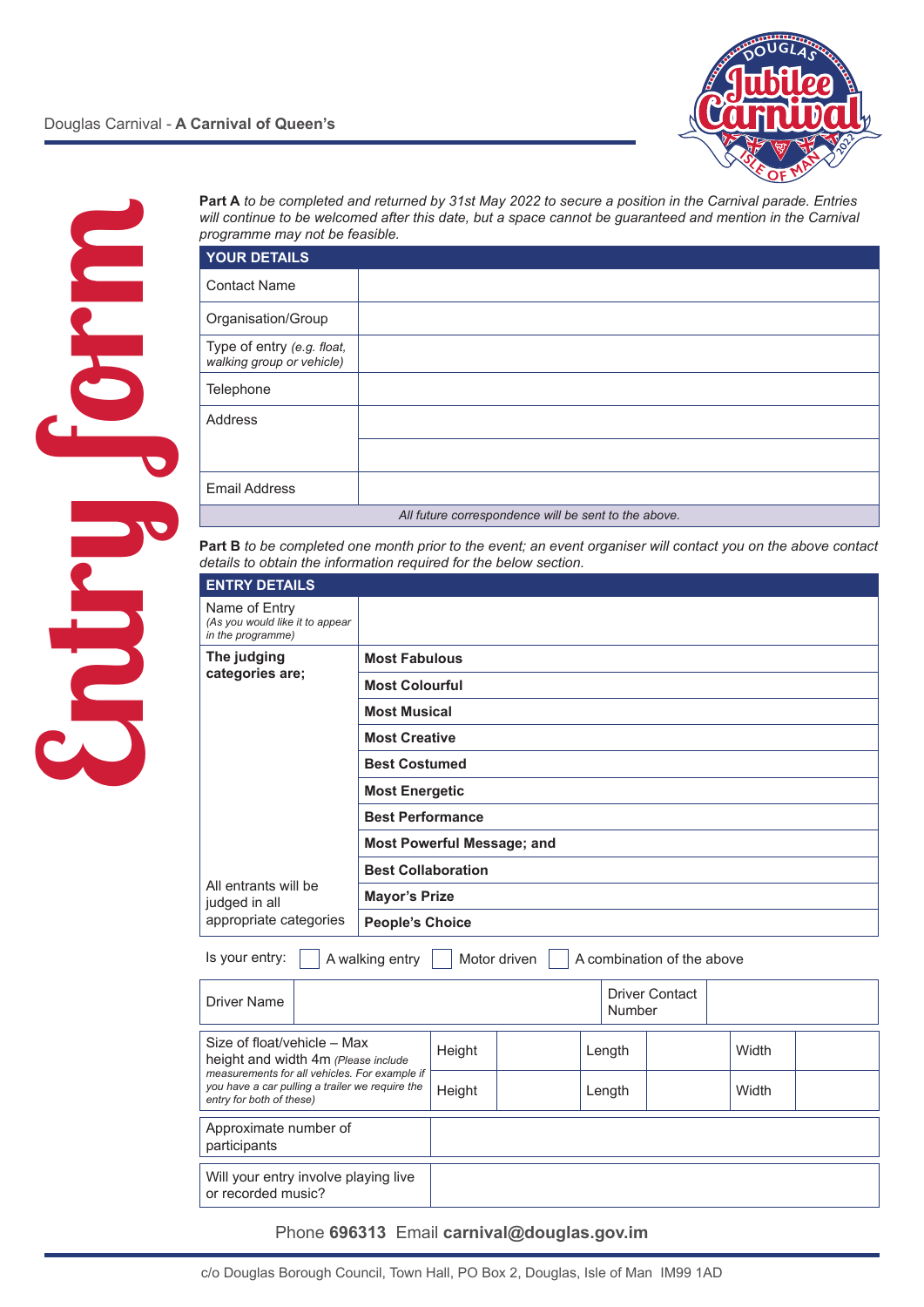



| <b>Part A</b> to be completed and returned by 31st May 2022 to secure a position in the Carnival parade. Entries |
|------------------------------------------------------------------------------------------------------------------|
| will continue to be welcomed after this date, but a space cannot be quaranteed and mention in the Carnival       |
| programme may not be feasible.                                                                                   |

| <b>YOUR DETAILS</b>                                     |  |  |  |  |  |  |
|---------------------------------------------------------|--|--|--|--|--|--|
| <b>Contact Name</b>                                     |  |  |  |  |  |  |
| Organisation/Group                                      |  |  |  |  |  |  |
| Type of entry (e.g. float,<br>walking group or vehicle) |  |  |  |  |  |  |
| Telephone                                               |  |  |  |  |  |  |
| <b>Address</b>                                          |  |  |  |  |  |  |
|                                                         |  |  |  |  |  |  |
| <b>Email Address</b>                                    |  |  |  |  |  |  |
| All future correspondence will be sent to the above.    |  |  |  |  |  |  |

**Part B** *to be completed one month prior to the event; an event organiser will contact you on the above contact details to obtain the information required for the below section.*

| <b>ENTRY DETAILS</b>                                                  |                                   |
|-----------------------------------------------------------------------|-----------------------------------|
| Name of Entry<br>(As you would like it to appear<br>in the programme) |                                   |
| The judging                                                           | <b>Most Fabulous</b>              |
| categories are;                                                       | <b>Most Colourful</b>             |
|                                                                       | <b>Most Musical</b>               |
|                                                                       | <b>Most Creative</b>              |
|                                                                       | <b>Best Costumed</b>              |
|                                                                       | <b>Most Energetic</b>             |
|                                                                       | <b>Best Performance</b>           |
|                                                                       | <b>Most Powerful Message; and</b> |
| All entrants will be<br>judged in all                                 | <b>Best Collaboration</b>         |
|                                                                       | <b>Mayor's Prize</b>              |
| appropriate categories                                                | <b>People's Choice</b>            |

Is your entry:  $\Box$  A walking entry  $\Box$  Motor driven  $\Box$  A combination of the above

| Driver Name                                                                                                                                                                                        |                                      |        |  |        | <b>Driver Contact</b><br>Number |  |  |       |  |
|----------------------------------------------------------------------------------------------------------------------------------------------------------------------------------------------------|--------------------------------------|--------|--|--------|---------------------------------|--|--|-------|--|
| Size of float/vehicle – Max<br>height and width 4m (Please include<br>measurements for all vehicles. For example if<br>you have a car pulling a trailer we require the<br>entry for both of these) |                                      | Height |  |        | Length                          |  |  | Width |  |
|                                                                                                                                                                                                    |                                      | Height |  | Length |                                 |  |  | Width |  |
| Approximate number of<br>participants                                                                                                                                                              |                                      |        |  |        |                                 |  |  |       |  |
|                                                                                                                                                                                                    |                                      |        |  |        |                                 |  |  |       |  |
| or recorded music?                                                                                                                                                                                 | Will your entry involve playing live |        |  |        |                                 |  |  |       |  |
|                                                                                                                                                                                                    |                                      |        |  |        |                                 |  |  |       |  |

Phone **696313** Email **carnival@douglas.gov.im**